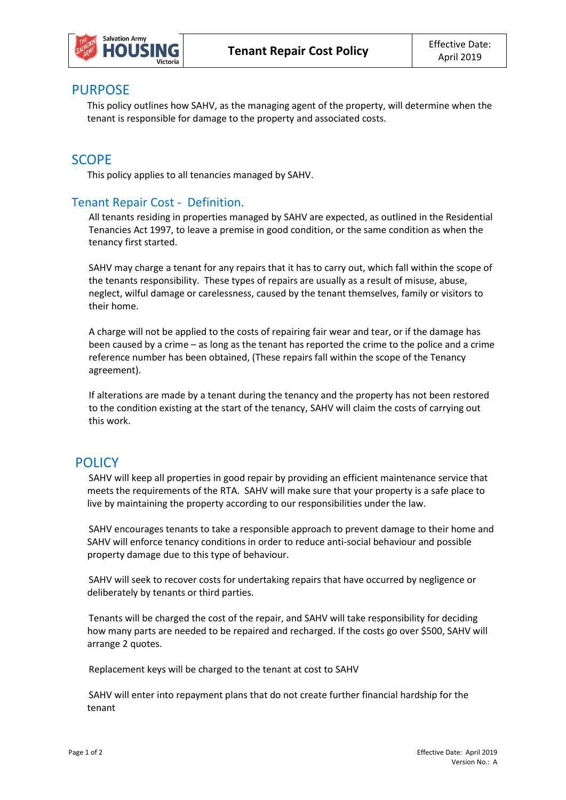

### PURPOSE

This policy outlines how SAHV, as the managing agent of the property, will determine when the tenant is responsible for damage to the property and associated costs.

## **SCOPE**

This policy applies to all tenancies managed by SAHV.

#### Tenant Repair Cost - Definition.

All tenants residing in properties managed by SAHV are expected, as outlined in the Residential Tenancies Act 1997, to leave a premise in good condition, or the same condition as when the tenancy first started.

SAHV may charge a tenant for any repairs that it has to carry out, which fall within the scope of the tenants responsibility. These types of repairs are usually as a result of misuse, abuse, neglect, wilful damage or carelessness, caused by the tenant themselves, family or visitors to their home.

A charge will not be applied to the costs of repairing fair wear and tear, or if the damage has been caused by a crime – as long as the tenant has reported the crime to the police and a crime reference number has been obtained, (These repairs fall within the scope of the Tenancy agreement).

If alterations are made by a tenant during the tenancy and the property has not been restored to the condition existing at the start of the tenancy, SAHV will claim the costs of carrying out this work.

# **POLICY**

SAHV will keep all properties in good repair by providing an efficient maintenance service that meets the requirements of the RTA. SAHV will make sure that your property is a safe place to live by maintaining the property according to our responsibilities under the law.

SAHV encourages tenants to take a responsible approach to prevent damage to their home and SAHV will enforce tenancy conditions in order to reduce anti-social behaviour and possible property damage due to this type of behaviour.

SAHV will seek to recover costs for undertaking repairs that have occurred by negligence or deliberately by tenants or third parties.

Tenants will be charged the cost of the repair, and SAHV will take responsibility for deciding how many parts are needed to be repaired and recharged. If the costs go over \$500, SAHV will arrange 2 quotes.

Replacement keys will be charged to the tenant at cost to SAHV

SAHV will enter into repayment plans that do not create further financial hardship for the tenant